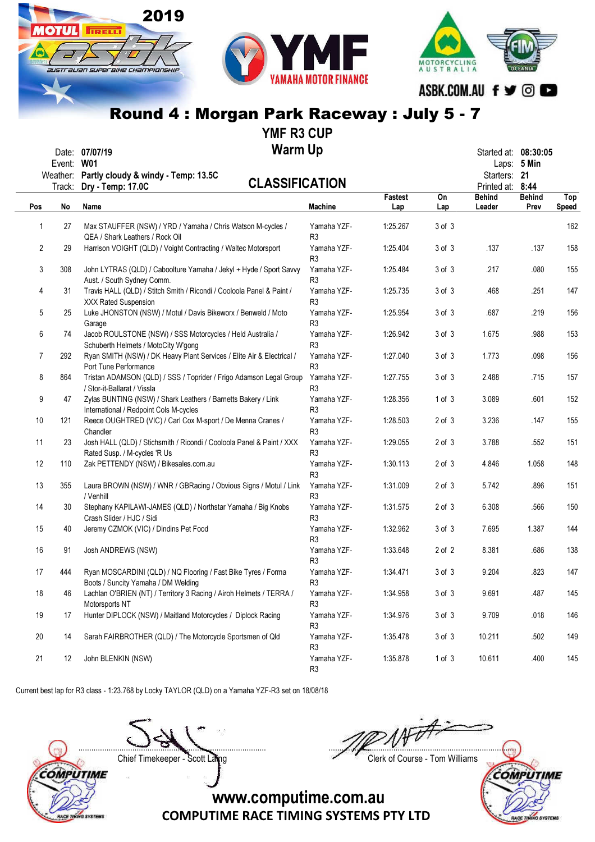

YMF R3 CUP

| Date: | 07/07/19 | <b>Warm Up</b> | Started at: 08:30:05 |  |
|-------|----------|----------------|----------------------|--|
|       |          |                |                      |  |

|              | ๛.<br>Event: W01<br>Track: | Weather: Partly cloudy & windy - Temp: 13.5C<br><b>CLASSIFICATION</b><br>Dry - Temp: 17.0C              |                               | <b>Fastest</b> | On         | Starters: 21<br>Printed at: 8:44<br><b>Behind</b> | Laps: 5 Min<br><b>Behind</b> | Top          |
|--------------|----------------------------|---------------------------------------------------------------------------------------------------------|-------------------------------|----------------|------------|---------------------------------------------------|------------------------------|--------------|
| Pos          | No                         | Name                                                                                                    | <b>Machine</b>                | Lap            | Lap        | Leader                                            | Prev                         | <b>Speed</b> |
| $\mathbf{1}$ | 27                         | Max STAUFFER (NSW) / YRD / Yamaha / Chris Watson M-cycles /<br>QEA / Shark Leathers / Rock Oil          | Yamaha YZF-<br>R3             | 1:25.267       | $3$ of $3$ |                                                   |                              | 162          |
| 2            | 29                         | Harrison VOIGHT (QLD) / Voight Contracting / Waltec Motorsport                                          | Yamaha YZF-<br>R3             | 1:25.404       | 3 of 3     | .137                                              | .137                         | 158          |
| 3            | 308                        | John LYTRAS (QLD) / Caboolture Yamaha / Jekyl + Hyde / Sport Savvy<br>Aust. / South Sydney Comm.        | Yamaha YZF-<br>R3             | 1:25.484       | $3$ of $3$ | .217                                              | .080                         | 155          |
| 4            | 31                         | Travis HALL (QLD) / Stitch Smith / Ricondi / Cooloola Panel & Paint /<br><b>XXX Rated Suspension</b>    | Yamaha YZF-<br>R3             | 1:25.735       | $3$ of $3$ | .468                                              | .251                         | 147          |
| 5            | 25                         | Luke JHONSTON (NSW) / Motul / Davis Bikeworx / Benweld / Moto<br>Garage                                 | Yamaha YZF-<br>R3             | 1:25.954       | $3$ of $3$ | .687                                              | .219                         | 156          |
| 6            | 74                         | Jacob ROULSTONE (NSW) / SSS Motorcycles / Held Australia /<br>Schuberth Helmets / MotoCity W'gong       | Yamaha YZF-<br>R <sub>3</sub> | 1:26.942       | $3$ of $3$ | 1.675                                             | .988                         | 153          |
| 7            | 292                        | Ryan SMITH (NSW) / DK Heavy Plant Services / Elite Air & Electrical /<br>Port Tune Performance          | Yamaha YZF-<br>R <sub>3</sub> | 1:27.040       | $3$ of $3$ | 1.773                                             | .098                         | 156          |
| 8            | 864                        | Tristan ADAMSON (QLD) / SSS / Toprider / Frigo Adamson Legal Group<br>/ Stor-it-Ballarat / Vissla       | Yamaha YZF-<br>R3             | 1:27.755       | $3$ of $3$ | 2.488                                             | .715                         | 157          |
| 9            | 47                         | Zylas BUNTING (NSW) / Shark Leathers / Barnetts Bakery / Link<br>International / Redpoint Cols M-cycles | Yamaha YZF-<br>R <sub>3</sub> | 1:28.356       | 1 of 3     | 3.089                                             | .601                         | 152          |
| 10           | 121                        | Reece OUGHTRED (VIC) / Carl Cox M-sport / De Menna Cranes /<br>Chandler                                 | Yamaha YZF-<br>R3             | 1:28.503       | $2$ of $3$ | 3.236                                             | .147                         | 155          |
| 11           | 23                         | Josh HALL (QLD) / Stichsmith / Ricondi / Cooloola Panel & Paint / XXX<br>Rated Susp. / M-cycles 'R Us   | Yamaha YZF-<br>R3             | 1:29.055       | $2$ of $3$ | 3.788                                             | .552                         | 151          |
| 12           | 110                        | Zak PETTENDY (NSW) / Bikesales.com.au                                                                   | Yamaha YZF-<br>R3             | 1:30.113       | $2$ of $3$ | 4.846                                             | 1.058                        | 148          |
| 13           | 355                        | Laura BROWN (NSW) / WNR / GBRacing / Obvious Signs / Motul / Link<br>/ Venhill                          | Yamaha YZF-<br>R3             | 1:31.009       | $2$ of $3$ | 5.742                                             | .896                         | 151          |
| 14           | 30                         | Stephany KAPILAWI-JAMES (QLD) / Northstar Yamaha / Big Knobs<br>Crash Slider / HJC / Sidi               | Yamaha YZF-<br>R <sub>3</sub> | 1:31.575       | $2$ of $3$ | 6.308                                             | .566                         | 150          |
| 15           | 40                         | Jeremy CZMOK (VIC) / Dindins Pet Food                                                                   | Yamaha YZF-<br>R3             | 1:32.962       | $3$ of $3$ | 7.695                                             | 1.387                        | 144          |
| 16           | 91                         | Josh ANDREWS (NSW)                                                                                      | Yamaha YZF-<br>R <sub>3</sub> | 1:33.648       | $2$ of $2$ | 8.381                                             | .686                         | 138          |
| 17           | 444                        | Ryan MOSCARDINI (QLD) / NQ Flooring / Fast Bike Tyres / Forma<br>Boots / Suncity Yamaha / DM Welding    | Yamaha YZF-<br>R <sub>3</sub> | 1:34.471       | $3$ of $3$ | 9.204                                             | .823                         | 147          |
| 18           | 46                         | Lachlan O'BRIEN (NT) / Territory 3 Racing / Airoh Helmets / TERRA /<br>Motorsports NT                   | Yamaha YZF-<br>R <sub>3</sub> | 1:34.958       | $3$ of $3$ | 9.691                                             | .487                         | 145          |
| 19           | 17                         | Hunter DIPLOCK (NSW) / Maitland Motorcycles / Diplock Racing                                            | Yamaha YZF-<br>R <sub>3</sub> | 1:34.976       | $3$ of $3$ | 9.709                                             | .018                         | 146          |
| 20           | 14                         | Sarah FAIRBROTHER (QLD) / The Motorcycle Sportsmen of Qld                                               | Yamaha YZF-<br>R <sub>3</sub> | 1:35.478       | $3$ of $3$ | 10.211                                            | .502                         | 149          |
| 21           | 12                         | John BLENKIN (NSW)                                                                                      | Yamaha YZF-<br>R3             | 1:35.878       | 1 of 3     | 10.611                                            | .400                         | 145          |

Current best lap for R3 class - 1:23.768 by Locky TAYLOR (QLD) on a Yamaha YZF-R3 set on 18/08/18

....................................................................................... .......................................................................................



Chief Timekeeper - Scott Laing Chief Timekeeper - Scott Laing



www.computime.com.au

COMPUTIME RACE TIMING SYSTEMS PTY LTD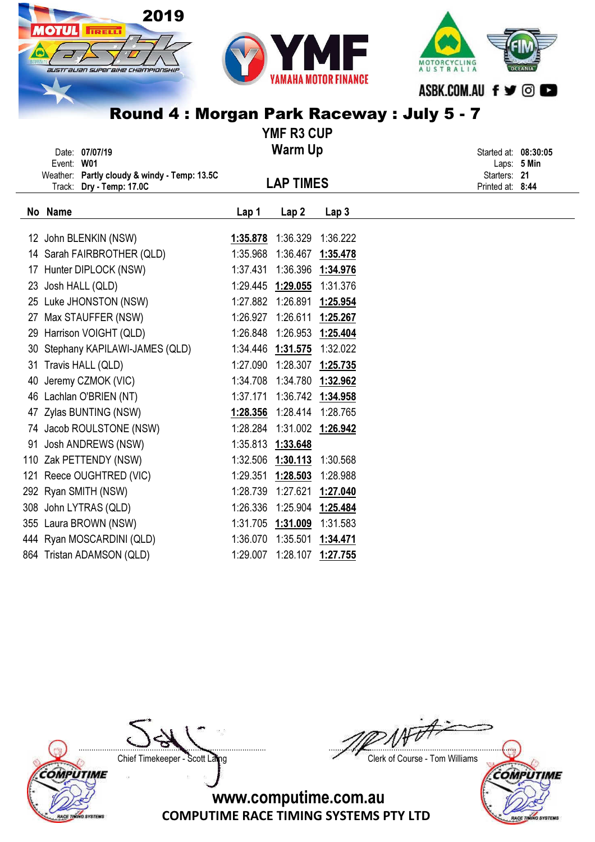

|    |            | Date: 07/07/19                                                           |          | <b>Warm Up</b>             |                  |                                  | Started at: 08:30:05 |
|----|------------|--------------------------------------------------------------------------|----------|----------------------------|------------------|----------------------------------|----------------------|
|    | Event: W01 |                                                                          |          |                            |                  |                                  | Laps: 5 Min          |
|    |            | Weather: Partly cloudy & windy - Temp: 13.5C<br>Track: Dry - Temp: 17.0C |          | <b>LAP TIMES</b>           |                  | Starters: 21<br>Printed at: 8:44 |                      |
|    | No Name    |                                                                          | Lap 1    | Lap <sub>2</sub>           | Lap <sub>3</sub> |                                  |                      |
|    |            | 12 John BLENKIN (NSW)                                                    | 1:35.878 | 1:36.329                   | 1:36.222         |                                  |                      |
|    |            | 14 Sarah FAIRBROTHER (QLD)                                               | 1:35.968 | 1:36.467                   | 1:35.478         |                                  |                      |
|    |            | 17 Hunter DIPLOCK (NSW)                                                  | 1:37.431 | 1:36.396                   | 1:34.976         |                                  |                      |
|    |            | 23 Josh HALL (QLD)                                                       |          | 1:29.445 1:29.055          | 1:31.376         |                                  |                      |
|    |            | 25 Luke JHONSTON (NSW)                                                   |          | 1:27.882 1:26.891          | 1:25.954         |                                  |                      |
| 27 |            | Max STAUFFER (NSW)                                                       | 1:26.927 | 1:26.611                   | 1:25.267         |                                  |                      |
|    |            | 29 Harrison VOIGHT (QLD)                                                 |          | 1:26.848 1:26.953          | 1:25.404         |                                  |                      |
|    |            | 30 Stephany KAPILAWI-JAMES (QLD)                                         |          | 1:34.446 1:31.575          | 1:32.022         |                                  |                      |
|    |            | 31 Travis HALL (QLD)                                                     |          | 1:27.090 1:28.307 1:25.735 |                  |                                  |                      |
|    |            | 40 Jeremy CZMOK (VIC)                                                    |          | 1:34.708 1:34.780 1:32.962 |                  |                                  |                      |
|    |            | 46 Lachlan O'BRIEN (NT)                                                  | 1:37.171 | 1:36.742 1:34.958          |                  |                                  |                      |
|    |            | 47 Zylas BUNTING (NSW)                                                   | 1:28.356 | 1:28.414 1:28.765          |                  |                                  |                      |
|    |            | 74 Jacob ROULSTONE (NSW)                                                 | 1:28.284 | 1:31.002 1:26.942          |                  |                                  |                      |
|    |            | 91 Josh ANDREWS (NSW)                                                    |          | 1:35.813 1:33.648          |                  |                                  |                      |
|    |            | 110 Zak PETTENDY (NSW)                                                   |          | 1:32.506 1:30.113          | 1:30.568         |                                  |                      |
|    |            | 121 Reece OUGHTRED (VIC)                                                 | 1:29.351 | 1:28.503                   | 1:28.988         |                                  |                      |
|    |            | 292 Ryan SMITH (NSW)                                                     | 1:28.739 | 1:27.621                   | 1:27.040         |                                  |                      |
|    |            | 308 John LYTRAS (QLD)                                                    | 1:26.336 | 1:25.904 1:25.484          |                  |                                  |                      |
|    |            | 355 Laura BROWN (NSW)                                                    | 1:31.705 | 1:31.009                   | 1:31.583         |                                  |                      |
|    |            | 444 Ryan MOSCARDINI (QLD)                                                | 1:36.070 | 1:35.501                   | 1:34.471         |                                  |                      |
|    |            | 864 Tristan ADAMSON (QLD)                                                | 1:29.007 | 1:28.107                   | 1:27.755         |                                  |                      |

COMPUTIME

RACE TINING SYSTEMS

....................................................................................... ....................................................................................... Chief Timekeeper - Scott Laing Chief Timekeeper - Scott Laing

COMPUTIME

**RACE TIN** 

**SYSTEMS**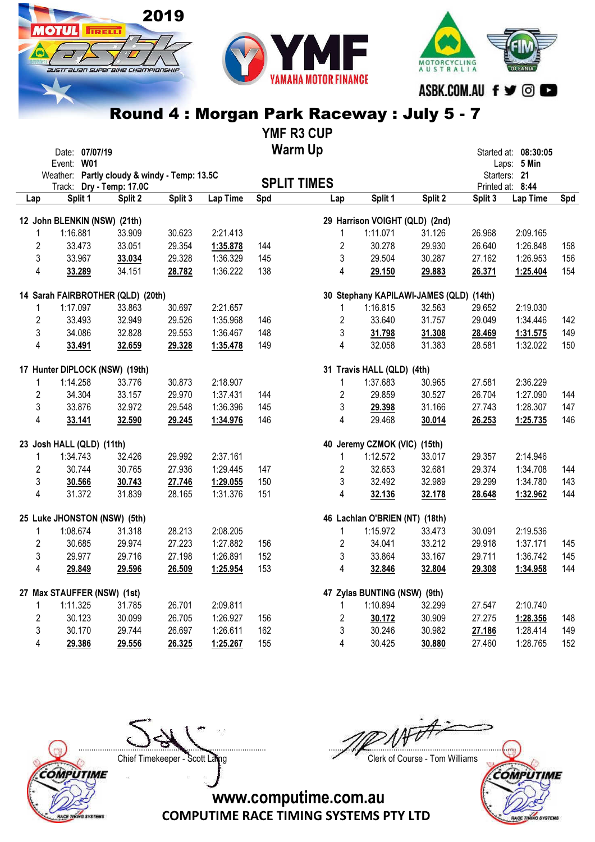





YMF R3 CUP Warm Up

|                | Date: 07/07/19                               |         |         |          |     | warm up            |                                         |         |         | Started at: 08:30:05         |     |
|----------------|----------------------------------------------|---------|---------|----------|-----|--------------------|-----------------------------------------|---------|---------|------------------------------|-----|
|                | Event: W01                                   |         |         |          |     |                    |                                         |         |         | Laps: 5 Min                  |     |
|                | Weather: Partly cloudy & windy - Temp: 13.5C |         |         |          |     | <b>SPLIT TIMES</b> |                                         |         |         | Starters: 21                 |     |
| Lap            | Track: Dry - Temp: 17.0C<br>Split 1          | Split 2 | Split 3 | Lap Time | Spd | Lap                | Split 1                                 | Split 2 | Split 3 | Printed at: 8:44<br>Lap Time | Spd |
|                |                                              |         |         |          |     |                    |                                         |         |         |                              |     |
|                | 12 John BLENKIN (NSW) (21th)                 |         |         |          |     |                    | 29 Harrison VOIGHT (QLD) (2nd)          |         |         |                              |     |
| 1              | 1:16.881                                     | 33.909  | 30.623  | 2:21.413 |     | $\mathbf{1}$       | 1:11.071                                | 31.126  | 26.968  | 2:09.165                     |     |
| $\overline{2}$ | 33.473                                       | 33.051  | 29.354  | 1:35.878 | 144 | $\overline{2}$     | 30.278                                  | 29.930  | 26.640  | 1:26.848                     | 158 |
| 3              | 33.967                                       | 33.034  | 29.328  | 1:36.329 | 145 | 3                  | 29.504                                  | 30.287  | 27.162  | 1:26.953                     | 156 |
| 4              | 33.289                                       | 34.151  | 28.782  | 1:36.222 | 138 | 4                  | 29.150                                  | 29.883  | 26.371  | 1:25.404                     | 154 |
|                | 14 Sarah FAIRBROTHER (QLD) (20th)            |         |         |          |     |                    | 30 Stephany KAPILAWI-JAMES (QLD) (14th) |         |         |                              |     |
| 1              | 1:17.097                                     | 33.863  | 30.697  | 2:21.657 |     | $\mathbf{1}$       | 1:16.815                                | 32.563  | 29.652  | 2:19.030                     |     |
| $\overline{2}$ | 33.493                                       | 32.949  | 29.526  | 1:35.968 | 146 | $\overline{2}$     | 33.640                                  | 31.757  | 29.049  | 1:34.446                     | 142 |
| 3              | 34.086                                       | 32.828  | 29.553  | 1:36.467 | 148 | 3                  | 31.798                                  | 31.308  | 28.469  | 1:31.575                     | 149 |
| 4              | 33.491                                       | 32.659  | 29.328  | 1:35.478 | 149 | 4                  | 32.058                                  | 31.383  | 28.581  | 1:32.022                     | 150 |
|                | 17 Hunter DIPLOCK (NSW) (19th)               |         |         |          |     |                    | 31 Travis HALL (QLD) (4th)              |         |         |                              |     |
| 1              | 1:14.258                                     | 33.776  | 30.873  | 2:18.907 |     | 1                  | 1:37.683                                | 30.965  | 27.581  | 2:36.229                     |     |
| $\overline{2}$ | 34.304                                       | 33.157  | 29.970  | 1:37.431 | 144 | $\overline{2}$     | 29.859                                  | 30.527  | 26.704  | 1:27.090                     | 144 |
| 3              | 33.876                                       | 32.972  | 29.548  | 1:36.396 | 145 | 3                  | 29.398                                  | 31.166  | 27.743  | 1:28.307                     | 147 |
| 4              | 33.141                                       | 32.590  | 29.245  | 1:34.976 | 146 | 4                  | 29.468                                  | 30.014  | 26.253  | 1:25.735                     | 146 |
|                | 23 Josh HALL (QLD) (11th)                    |         |         |          |     |                    | 40 Jeremy CZMOK (VIC) (15th)            |         |         |                              |     |
| 1              | 1:34.743                                     | 32.426  | 29.992  | 2:37.161 |     | 1                  | 1:12.572                                | 33.017  | 29.357  | 2:14.946                     |     |
| $\overline{2}$ | 30.744                                       | 30.765  | 27.936  | 1:29.445 | 147 | $\sqrt{2}$         | 32.653                                  | 32.681  | 29.374  | 1:34.708                     | 144 |
| 3              | 30.566                                       | 30.743  | 27.746  | 1:29.055 | 150 | 3                  | 32.492                                  | 32.989  | 29.299  | 1:34.780                     | 143 |
| 4              | 31.372                                       | 31.839  | 28.165  | 1:31.376 | 151 | 4                  | 32.136                                  | 32.178  | 28.648  | 1:32.962                     | 144 |
|                | 25 Luke JHONSTON (NSW) (5th)                 |         |         |          |     |                    | 46 Lachlan O'BRIEN (NT) (18th)          |         |         |                              |     |
| 1              | 1:08.674                                     | 31.318  | 28.213  | 2:08.205 |     | 1                  | 1:15.972                                | 33.473  | 30.091  | 2:19.536                     |     |
| $\overline{2}$ | 30.685                                       | 29.974  | 27.223  | 1:27.882 | 156 | $\overline{2}$     | 34.041                                  | 33.212  | 29.918  | 1:37.171                     | 145 |
| 3              | 29.977                                       | 29.716  | 27.198  | 1:26.891 | 152 | 3                  | 33.864                                  | 33.167  | 29.711  | 1:36.742                     | 145 |
| 4              | 29.849                                       | 29.596  | 26.509  | 1:25.954 | 153 | 4                  | 32.846                                  | 32.804  | 29.308  | 1:34.958                     | 144 |
|                | 27 Max STAUFFER (NSW) (1st)                  |         |         |          |     |                    | 47 Zylas BUNTING (NSW) (9th)            |         |         |                              |     |
| 1              | 1:11.325                                     | 31.785  | 26.701  | 2:09.811 |     | 1                  | 1:10.894                                | 32.299  | 27.547  | 2:10.740                     |     |
| $\overline{2}$ | 30.123                                       | 30.099  | 26.705  | 1:26.927 | 156 | $\overline{2}$     | 30.172                                  | 30.909  | 27.275  | 1:28.356                     | 148 |
| 3              | 30.170                                       | 29.744  | 26.697  | 1:26.611 | 162 | 3                  | 30.246                                  | 30.982  | 27.186  | 1:28.414                     | 149 |
| 4              | 29.386                                       | 29.556  | 26.325  | 1:25.267 | 155 | 4                  | 30.425                                  | 30.880  | 27.460  | 1:28.765                     | 152 |



....................................................................................... ....................................................................................... Chief Timekeeper - Scott Laing Chief Timekeeper - Scott Laing

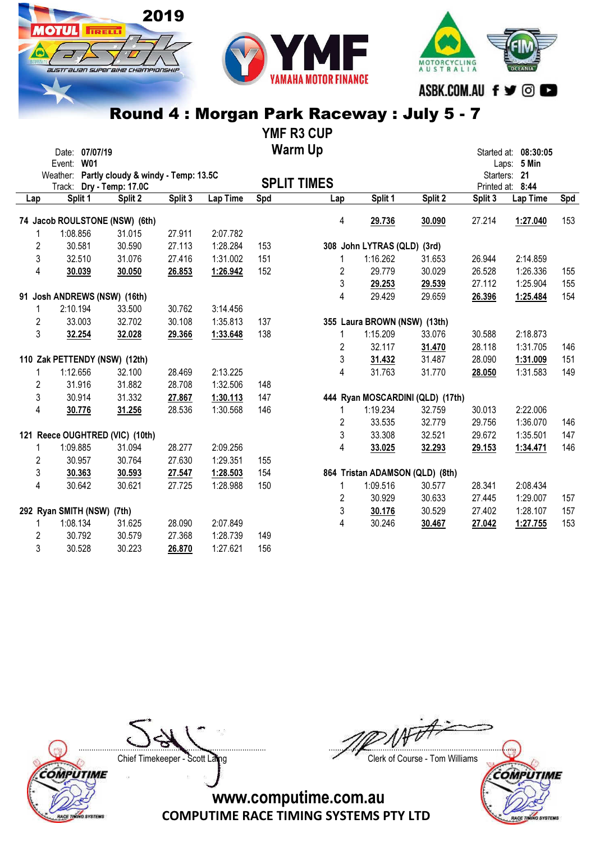





YMF R3 CUP

|                | Date: 07/07/19                               |                   |         |          |     | <b>Warm Up</b>     |                              |                                  |         | Started at: 08:30:05 |     |
|----------------|----------------------------------------------|-------------------|---------|----------|-----|--------------------|------------------------------|----------------------------------|---------|----------------------|-----|
|                | Event: W01                                   |                   |         |          |     |                    |                              |                                  |         | Laps: 5 Min          |     |
|                | Weather: Partly cloudy & windy - Temp: 13.5C |                   |         |          |     | <b>SPLIT TIMES</b> |                              |                                  |         | Starters: 21         |     |
|                | Track:                                       | Dry - Temp: 17.0C |         | Lap Time | Spd |                    | Split 1                      | Split 2                          |         | Printed at: 8:44     | Spd |
| Lap            | Split 1                                      | Split 2           | Split 3 |          |     | Lap                |                              |                                  | Split 3 | Lap Time             |     |
|                | 74 Jacob ROULSTONE (NSW) (6th)               |                   |         |          |     | 4                  | 29.736                       | 30.090                           | 27.214  | 1:27.040             | 153 |
| 1              | 1:08.856                                     | 31.015            | 27.911  | 2:07.782 |     |                    |                              |                                  |         |                      |     |
| 2              | 30.581                                       | 30.590            | 27.113  | 1:28.284 | 153 |                    | 308 John LYTRAS (QLD) (3rd)  |                                  |         |                      |     |
| 3              | 32.510                                       | 31.076            | 27.416  | 1:31.002 | 151 | 1                  | 1:16.262                     | 31.653                           | 26.944  | 2:14.859             |     |
| 4              | 30.039                                       | 30.050            | 26.853  | 1:26.942 | 152 | 2                  | 29.779                       | 30.029                           | 26.528  | 1:26.336             | 155 |
|                |                                              |                   |         |          |     | 3                  | 29.253                       | 29.539                           | 27.112  | 1:25.904             | 155 |
|                | 91 Josh ANDREWS (NSW) (16th)                 |                   |         |          |     | 4                  | 29.429                       | 29.659                           | 26.396  | 1:25.484             | 154 |
| 1              | 2:10.194                                     | 33.500            | 30.762  | 3:14.456 |     |                    |                              |                                  |         |                      |     |
| $\overline{2}$ | 33.003                                       | 32.702            | 30.108  | 1:35.813 | 137 |                    | 355 Laura BROWN (NSW) (13th) |                                  |         |                      |     |
| 3              | 32.254                                       | 32.028            | 29.366  | 1:33.648 | 138 | 1                  | 1:15.209                     | 33.076                           | 30.588  | 2:18.873             |     |
|                |                                              |                   |         |          |     | 2                  | 32.117                       | 31.470                           | 28.118  | 1:31.705             | 146 |
|                | 110 Zak PETTENDY (NSW) (12th)                |                   |         |          |     | 3                  | 31.432                       | 31.487                           | 28.090  | 1:31.009             | 151 |
|                | 1:12.656                                     | 32.100            | 28.469  | 2:13.225 |     | 4                  | 31.763                       | 31.770                           | 28.050  | 1:31.583             | 149 |
| 2              | 31.916                                       | 31.882            | 28.708  | 1:32.506 | 148 |                    |                              |                                  |         |                      |     |
| 3              | 30.914                                       | 31.332            | 27.867  | 1:30.113 | 147 |                    |                              | 444 Ryan MOSCARDINI (QLD) (17th) |         |                      |     |
| 4              | 30.776                                       | 31.256            | 28.536  | 1:30.568 | 146 | 1                  | 1:19.234                     | 32.759                           | 30.013  | 2:22.006             |     |
|                |                                              |                   |         |          |     | 2                  | 33.535                       | 32.779                           | 29.756  | 1:36.070             | 146 |
|                | 121 Reece OUGHTRED (VIC) (10th)              |                   |         |          |     | 3                  | 33.308                       | 32.521                           | 29.672  | 1:35.501             | 147 |
| 1              | 1:09.885                                     | 31.094            | 28.277  | 2:09.256 |     | 4                  | 33.025                       | 32.293                           | 29.153  | 1:34.471             | 146 |
| $\overline{c}$ | 30.957                                       | 30.764            | 27.630  | 1:29.351 | 155 |                    |                              |                                  |         |                      |     |
| $\mathfrak{z}$ | 30.363                                       | 30.593            | 27.547  | 1:28.503 | 154 |                    |                              | 864 Tristan ADAMSON (QLD) (8th)  |         |                      |     |
| $\overline{4}$ | 30.642                                       | 30.621            | 27.725  | 1:28.988 | 150 | 1                  | 1:09.516                     | 30.577                           | 28.341  | 2:08.434             |     |
|                |                                              |                   |         |          |     | 2                  | 30.929                       | 30.633                           | 27.445  | 1:29.007             | 157 |
|                | 292 Ryan SMITH (NSW) (7th)                   |                   |         |          |     | 3                  | 30.176                       | 30.529                           | 27.402  | 1:28.107             | 157 |
| 1              | 1:08.134                                     | 31.625            | 28.090  | 2:07.849 |     | 4                  | 30.246                       | 30.467                           | 27.042  | 1:27.755             | 153 |
| 2              | 30.792                                       | 30.579            | 27.368  | 1:28.739 | 149 |                    |                              |                                  |         |                      |     |
| 3              | 30.528                                       | 30.223            | 26.870  | 1:27.621 | 156 |                    |                              |                                  |         |                      |     |

COMPUTIME

RACE TINING SYSTEMS

....................................................................................... .......................................................................................

Chief Timekeeper - Scott Laing Chief Timekeeper - Scott Laing

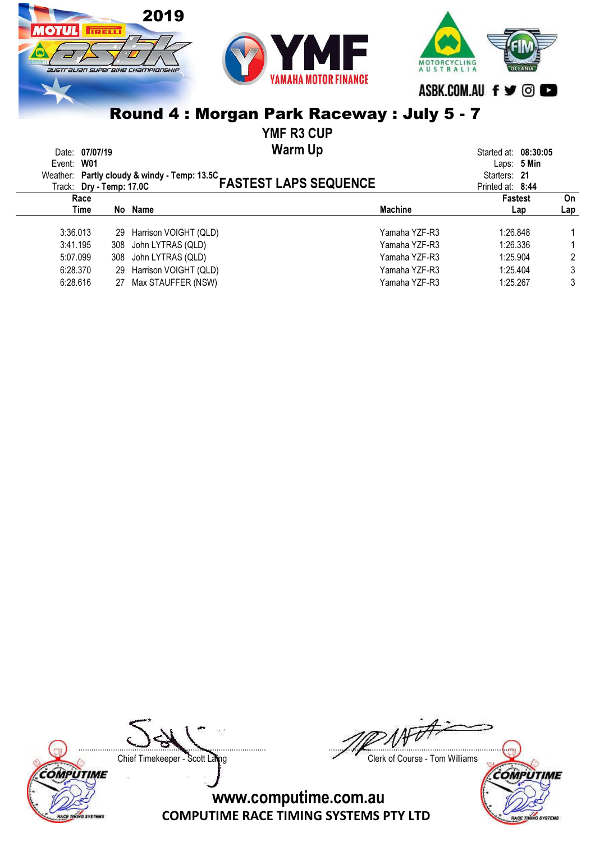

YMF R3 CUP

Warm Up Date: 07/07/19 Started at: 08:30:05

| Event: W01 | Weather: Partly cloudy & windy - Temp: 13.5C<br>FASTEST LAPS SEQUENCE |               | Laps: 5 Min<br>Starters: 21 |     |
|------------|-----------------------------------------------------------------------|---------------|-----------------------------|-----|
|            |                                                                       |               | Printed at: 8:44            |     |
| Race       |                                                                       |               | <b>Fastest</b>              | On  |
| Time       | No Name                                                               | Machine       | Lap                         | Lap |
| 3:36.013   | 29 Harrison VOIGHT (QLD)                                              | Yamaha YZF-R3 | 1:26.848                    |     |
| 3:41.195   | 308 John LYTRAS (QLD)                                                 | Yamaha YZF-R3 | 1:26.336                    |     |
| 5:07.099   | 308 John LYTRAS (QLD)                                                 | Yamaha YZF-R3 | 1:25.904                    |     |
| 6:28.370   | 29 Harrison VOIGHT (QLD)                                              | Yamaha YZF-R3 | 1:25.404                    | 3   |
| 6:28.616   | 27 Max STAUFFER (NSW)                                                 | Yamaha YZF-R3 | 1:25.267                    | 3   |





....................................................................................... ....................................................................................... Chief Timekeeper - Scott Laing Chief Timekeeper - Scott Laing

COMPUTIME

**RACE TE** 

**SYSTEMS**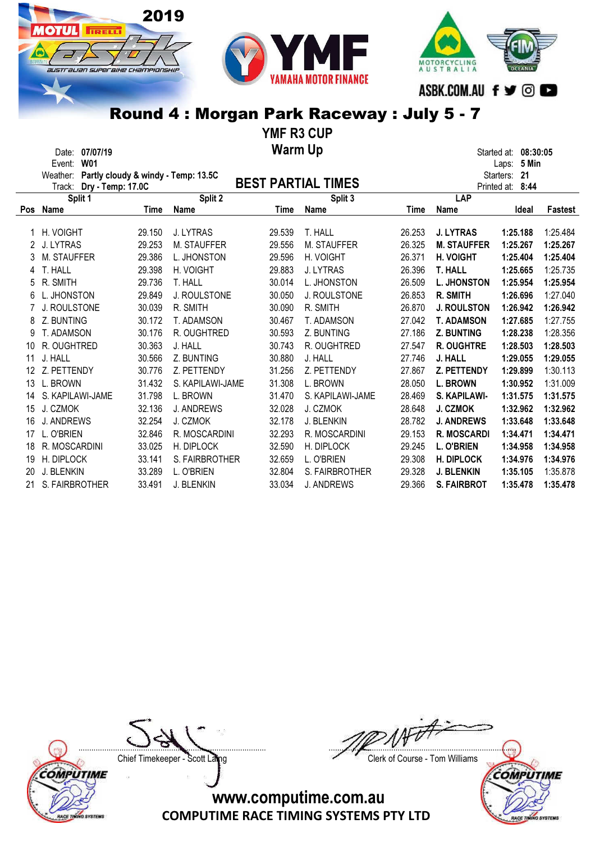





YMF R3 CUP Warm Up Date: 07/07/19 Started at: 08:30:05

|     | Event:<br>W01               |        |                                     |        |                           |        |                    | 5 Min<br>Laps:  |                |
|-----|-----------------------------|--------|-------------------------------------|--------|---------------------------|--------|--------------------|-----------------|----------------|
|     | Weather:                    |        | Partly cloudy & windy - Temp: 13.5C |        |                           |        |                    | 21<br>Starters: |                |
|     | Dry - Temp: 17.0C<br>Track: |        |                                     |        | <b>BEST PARTIAL TIMES</b> |        | Printed at:        | 8:44            |                |
|     | Split 1                     |        | Split 2                             |        | Split 3                   |        | LAP                |                 |                |
| Pos | <b>Name</b>                 | Time   | <b>Name</b>                         | Time   | <b>Name</b>               | Time   | Name               | Ideal           | <b>Fastest</b> |
|     |                             |        |                                     |        |                           |        |                    |                 |                |
|     | H. VOIGHT                   | 29.150 | J. LYTRAS                           | 29.539 | T. HALL                   | 26.253 | <b>J. LYTRAS</b>   | 1:25.188        | 1:25.484       |
|     | J. LYTRAS                   | 29.253 | M. STAUFFER                         | 29.556 | M. STAUFFER               | 26.325 | <b>M. STAUFFER</b> | 1:25.267        | 1:25.267       |
| 3   | M. STAUFFER                 | 29.386 | L. JHONSTON                         | 29.596 | H. VOIGHT                 | 26.371 | <b>H. VOIGHT</b>   | 1:25.404        | 1:25.404       |
| 4   | T. HALL                     | 29.398 | H. VOIGHT                           | 29.883 | <b>J. LYTRAS</b>          | 26.396 | <b>T. HALL</b>     | 1:25.665        | 1:25.735       |
| 5   | R. SMITH                    | 29.736 | T. HALL                             | 30.014 | L. JHONSTON               | 26.509 | <b>L. JHONSTON</b> | 1:25.954        | 1:25.954       |
| 6   | L. JHONSTON                 | 29.849 | <b>J. ROULSTONE</b>                 | 30.050 | <b>J. ROULSTONE</b>       | 26.853 | <b>R. SMITH</b>    | 1:26.696        | 1:27.040       |
|     | J. ROULSTONE                | 30.039 | R. SMITH                            | 30.090 | R. SMITH                  | 26.870 | <b>J. ROULSTON</b> | 1:26.942        | 1:26.942       |
| 8   | Z. BUNTING                  | 30.172 | T. ADAMSON                          | 30.467 | T. ADAMSON                | 27.042 | <b>T. ADAMSON</b>  | 1:27.685        | 1:27.755       |
| 9   | T. ADAMSON                  | 30.176 | R. OUGHTRED                         | 30.593 | Z. BUNTING                | 27.186 | <b>Z. BUNTING</b>  | 1:28.238        | 1:28.356       |
| 10  | R. OUGHTRED                 | 30.363 | J. HALL                             | 30.743 | R. OUGHTRED               | 27.547 | <b>R. OUGHTRE</b>  | 1:28.503        | 1:28.503       |
| 11  | J. HALL                     | 30.566 | Z. BUNTING                          | 30.880 | J. HALL                   | 27.746 | J. HALL            | 1:29.055        | 1:29.055       |
| 12  | Z. PETTENDY                 | 30.776 | Z. PETTENDY                         | 31.256 | Z. PETTENDY               | 27.867 | Z. PETTENDY        | 1:29.899        | 1:30.113       |
| 13  | L. BROWN                    | 31.432 | S. KAPILAWI-JAME                    | 31.308 | L. BROWN                  | 28.050 | <b>L. BROWN</b>    | 1:30.952        | 1:31.009       |
| 14  | S. KAPILAWI-JAME            | 31.798 | L. BROWN                            | 31.470 | S. KAPILAWI-JAME          | 28.469 | S. KAPILAWI-       | 1:31.575        | 1:31.575       |
| 15  | J. CZMOK                    | 32.136 | <b>J. ANDREWS</b>                   | 32.028 | J. CZMOK                  | 28.648 | <b>J. CZMOK</b>    | 1:32.962        | 1:32.962       |
| 16  | <b>J. ANDREWS</b>           | 32.254 | J. CZMOK                            | 32.178 | <b>J. BLENKIN</b>         | 28.782 | <b>J. ANDREWS</b>  | 1:33.648        | 1:33.648       |
| 17  | L. O'BRIEN                  | 32.846 | R. MOSCARDINI                       | 32.293 | R. MOSCARDINI             | 29.153 | <b>R. MOSCARDI</b> | 1:34.471        | 1:34.471       |
| 18  | R. MOSCARDINI               | 33.025 | H. DIPLOCK                          | 32.590 | H. DIPLOCK                | 29.245 | <b>L. O'BRIEN</b>  | 1:34.958        | 1:34.958       |
| 19  |                             |        | S. FAIRBROTHER                      |        |                           |        |                    |                 |                |
|     | H. DIPLOCK                  | 33.141 |                                     | 32.659 | L. O'BRIEN                | 29.308 | <b>H. DIPLOCK</b>  | 1:34.976        | 1:34.976       |
| 20  | J. BLENKIN                  | 33.289 | L. O'BRIEN                          | 32.804 | S. FAIRBROTHER            | 29.328 | <b>J. BLENKIN</b>  | 1:35.105        | 1:35.878       |
| 21  | S. FAIRBROTHER              | 33.491 | J. BLENKIN                          | 33.034 | J. ANDREWS                | 29.366 | <b>S. FAIRBROT</b> | 1:35.478        | 1:35.478       |

COMPUTIME RACE TINING SYSTEMS

....................................................................................... ....................................................................................... Chief Timekeeper - Scott Laing Chief Timekeeper - Scott Laing

COMPUTIME **SYSTEMS RACE TE**